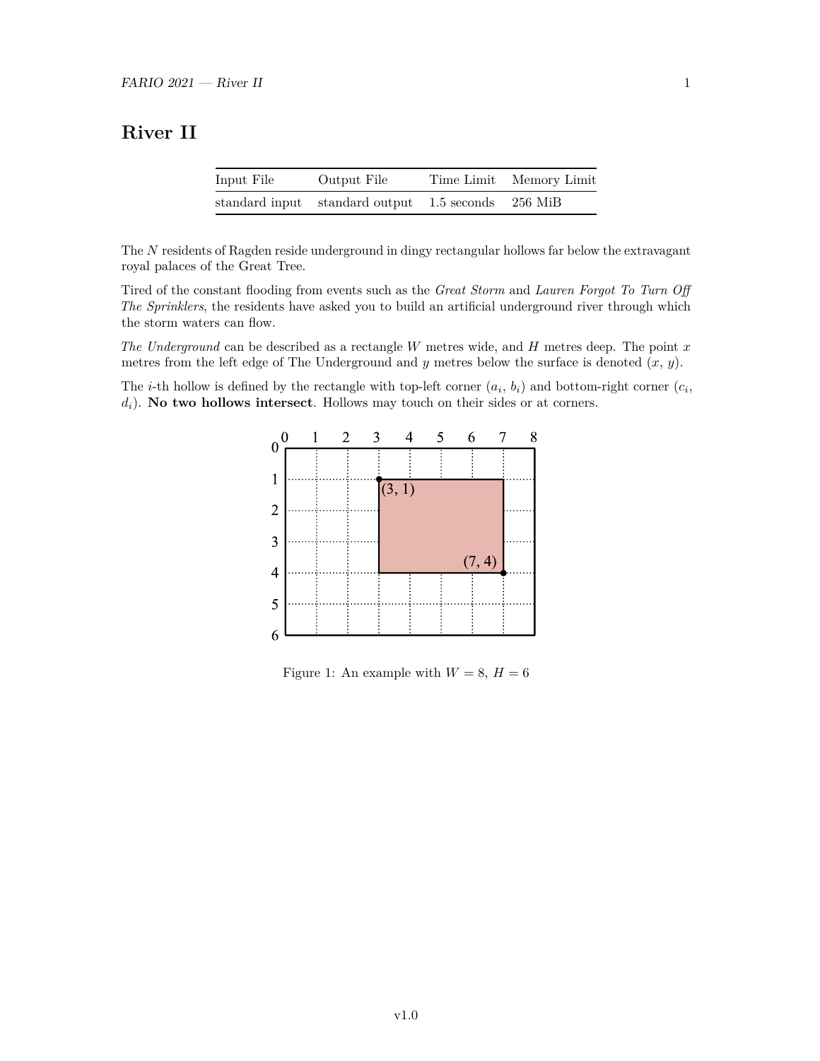# **River II**

| Input File | Output File                                        | Time Limit Memory Limit |
|------------|----------------------------------------------------|-------------------------|
|            | standard input standard output 1.5 seconds 256 MiB |                         |

The *N* residents of Ragden reside underground in dingy rectangular hollows far below the extravagant royal palaces of the Great Tree.

Tired of the constant flooding from events such as the *Great Storm* and *Lauren Forgot To Turn Off The Sprinklers*, the residents have asked you to build an artificial underground river through which the storm waters can flow.

*The Underground* can be described as a rectangle *W* metres wide, and *H* metres deep. The point *x* metres from the left edge of The Underground and *y* metres below the surface is denoted (*x*, *y*).

The *i*-th hollow is defined by the rectangle with top-left corner  $(a_i, b_i)$  and bottom-right corner  $(c_i, b_i)$ *di*). **No two hollows intersect**. Hollows may touch on their sides or at corners.



Figure 1: An example with  $W = 8, H = 6$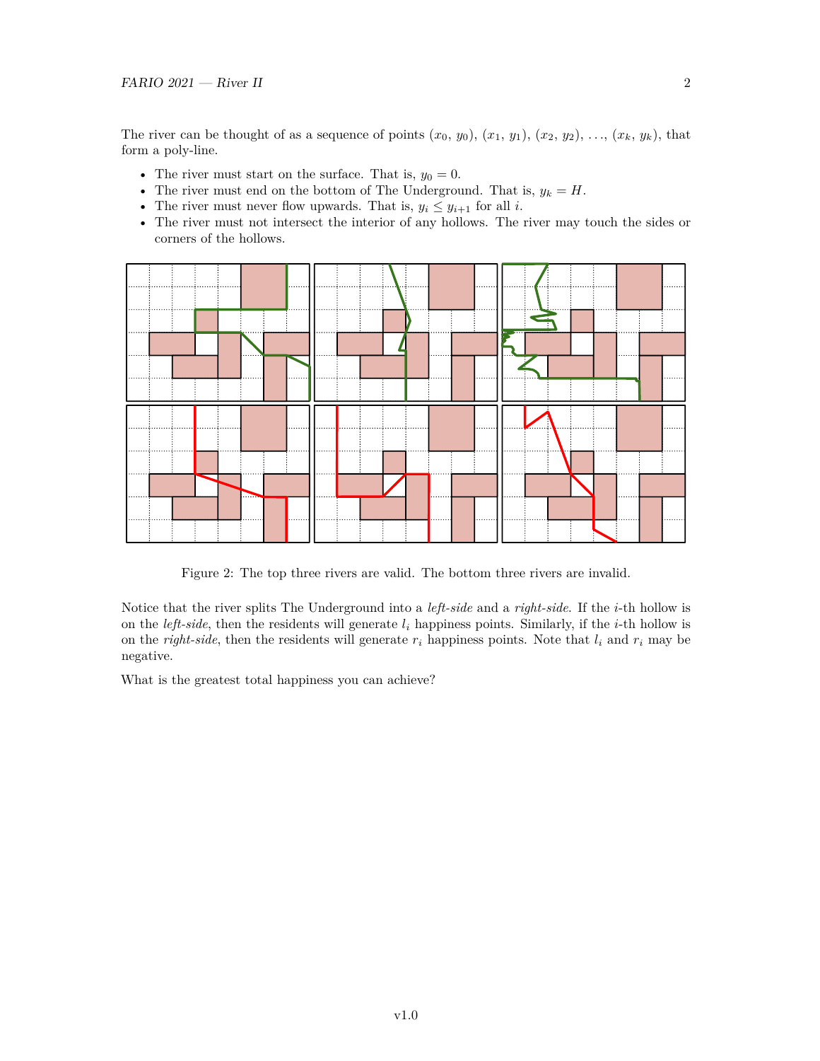The river can be thought of as a sequence of points  $(x_0, y_0)$ ,  $(x_1, y_1)$ ,  $(x_2, y_2)$ , ...,  $(x_k, y_k)$ , that form a poly-line.

- The river must start on the surface. That is,  $y_0 = 0$ .
- The river must end on the bottom of The Underground. That is,  $y_k = H$ .
- The river must never flow upwards. That is,  $y_i \leq y_{i+1}$  for all *i*.
- The river must not intersect the interior of any hollows. The river may touch the sides or corners of the hollows.



Figure 2: The top three rivers are valid. The bottom three rivers are invalid.

Notice that the river splits The Underground into a *left-side* and a *right-side*. If the *i*-th hollow is on the *left-side*, then the residents will generate *l<sup>i</sup>* happiness points. Similarly, if the *i*-th hollow is on the *right-side*, then the residents will generate  $r_i$  happiness points. Note that  $l_i$  and  $r_i$  may be negative.

What is the greatest total happiness you can achieve?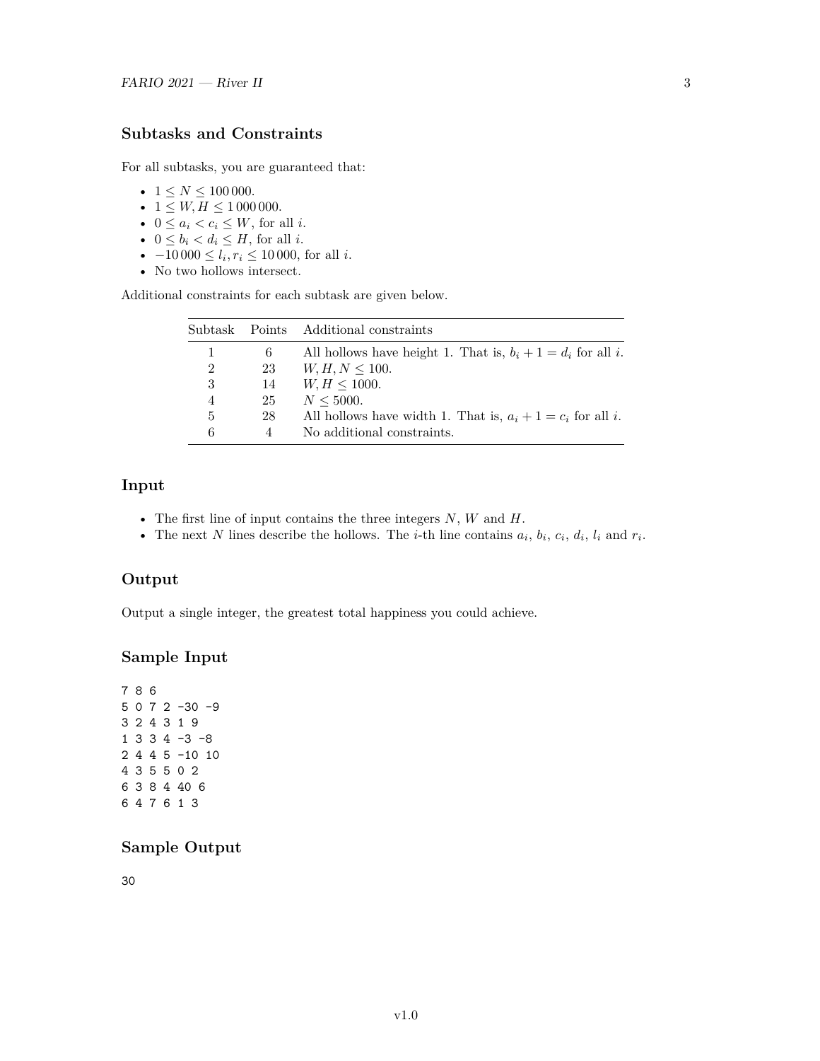## **Subtasks and Constraints**

For all subtasks, you are guaranteed that:

- $1 \le N \le 100000$ .
- $1 \leq W, H \leq 1000000$ .
- $0 \leq a_i < c_i \leq W$ , for all *i*.
- $0 \leq b_i < d_i \leq H$ , for all *i*.
- $-10\,000 \leq l_i, r_i \leq 10\,000$ , for all *i*.
- No two hollows intersect.

Additional constraints for each subtask are given below.

| Subtask        |    | Points Additional constraints                                         |
|----------------|----|-----------------------------------------------------------------------|
|                | 6  | All hollows have height 1. That is, $b_i + 1 = d_i$ for all i.        |
| $\overline{2}$ | 23 | $W, H, N \leq 100.$                                                   |
| 3              | 14 | $W, H \le 1000.$                                                      |
| 4              | 25 | $N \leq 5000$ .                                                       |
| 5              | 28 | All hollows have width 1. That is, $a_i + 1 = c_i$ for all <i>i</i> . |
| 6              | 4  | No additional constraints.                                            |

### **Input**

- The first line of input contains the three integers *N*, *W* and *H*.
- The next *N* lines describe the hollows. The *i*-th line contains  $a_i$ ,  $b_i$ ,  $c_i$ ,  $d_i$ ,  $l_i$  and  $r_i$ .

#### **Output**

Output a single integer, the greatest total happiness you could achieve.

#### **Sample Input**

## **Sample Output**

30